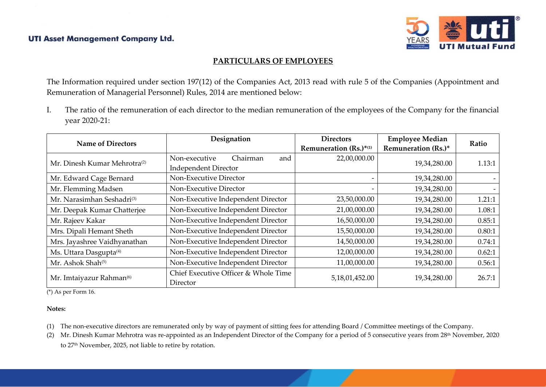

## **PARTICULARS OF EMPLOYEES**

The Information required under section 197(12) of the Companies Act, 2013 read with rule 5 of the Companies (Appointment and Remuneration of Managerial Personnel) Rules, 2014 are mentioned below:

I. The ratio of the remuneration of each director to the median remuneration of the employees of the Company for the financial year 2020-21:

| <b>Name of Directors</b>                 | Designation                                      | <b>Directors</b>       | <b>Employee Median</b>     | Ratio  |
|------------------------------------------|--------------------------------------------------|------------------------|----------------------------|--------|
|                                          |                                                  | Remuneration (Rs.)*(1) | <b>Remuneration (Rs.)*</b> |        |
| Mr. Dinesh Kumar Mehrotra <sup>(2)</sup> | Non-executive<br>Chairman<br>and                 | 22,00,000.00           | 19,34,280.00               | 1.13:1 |
|                                          | <b>Independent Director</b>                      |                        |                            |        |
| Mr. Edward Cage Bernard                  | Non-Executive Director                           |                        | 19,34,280.00               |        |
| Mr. Flemming Madsen                      | Non-Executive Director                           |                        | 19,34,280.00               |        |
| Mr. Narasimhan Seshadri <sup>(3)</sup>   | Non-Executive Independent Director               | 23,50,000.00           | 19,34,280.00               | 1.21:1 |
| Mr. Deepak Kumar Chatterjee              | Non-Executive Independent Director               | 21,00,000.00           | 19,34,280.00               | 1.08:1 |
| Mr. Rajeev Kakar                         | Non-Executive Independent Director               | 16,50,000.00           | 19,34,280.00               | 0.85:1 |
| Mrs. Dipali Hemant Sheth                 | Non-Executive Independent Director               | 15,50,000.00           | 19,34,280.00               | 0.80:1 |
| Mrs. Jayashree Vaidhyanathan             | Non-Executive Independent Director               | 14,50,000.00           | 19,34,280.00               | 0.74:1 |
| Ms. Uttara Dasgupta <sup>(4)</sup>       | Non-Executive Independent Director               | 12,00,000.00           | 19,34,280.00               | 0.62:1 |
| Mr. Ashok Shah <sup>(5)</sup>            | Non-Executive Independent Director               | 11,00,000.00           | 19,34,280.00               | 0.56:1 |
| Mr. Imtaiyazur Rahman <sup>(6)</sup>     | Chief Executive Officer & Whole Time<br>Director | 5,18,01,452.00         | 19,34,280.00               | 26.7:1 |

(\*) As per Form 16.

#### **Notes:**

- (1) The non-executive directors are remunerated only by way of payment of sitting fees for attending Board / Committee meetings of the Company.
- (2) Mr. Dinesh Kumar Mehrotra was re-appointed as an Independent Director of the Company for a period of 5 consecutive years from 28<sup>th</sup> November, 2020 to 27<sup>th</sup> November, 2025, not liable to retire by rotation.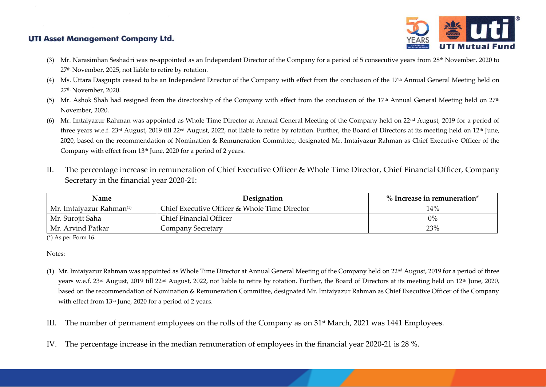

- (3) Mr. Narasimhan Seshadri was re-appointed as an Independent Director of the Company for a period of 5 consecutive years from 28<sup>th</sup> November, 2020 to 27th November, 2025, not liable to retire by rotation.
- (4) Ms. Uttara Dasgupta ceased to be an Independent Director of the Company with effect from the conclusion of the 17<sup>th</sup> Annual General Meeting held on 27th November, 2020.
- (5) Mr. Ashok Shah had resigned from the directorship of the Company with effect from the conclusion of the 17<sup>th</sup> Annual General Meeting held on  $27<sup>th</sup>$ November, 2020.
- (6) Mr. Imtaiyazur Rahman was appointed as Whole Time Director at Annual General Meeting of the Company held on  $22<sup>nd</sup>$  August, 2019 for a period of three years w.e.f. 23<sup>rd</sup> August, 2019 till 22<sup>nd</sup> August, 2022, not liable to retire by rotation. Further, the Board of Directors at its meeting held on 12<sup>th</sup> June, 2020, based on the recommendation of Nomination & Remuneration Committee, designated Mr. Imtaiyazur Rahman as Chief Executive Officer of the Company with effect from 13<sup>th</sup> June, 2020 for a period of 2 years.
- II. The percentage increase in remuneration of Chief Executive Officer & Whole Time Director, Chief Financial Officer, Company Secretary in the financial year 2020-21:

| <b>Name</b>                          | Designation                                   | $\%$ Increase in remuneration* |
|--------------------------------------|-----------------------------------------------|--------------------------------|
| Mr. Imtaiyazur Rahman <sup>(1)</sup> | Chief Executive Officer & Whole Time Director | 14%                            |
| Mr. Surojit Saha                     | Chief Financial Officer                       | $0\%$                          |
| Mr. Arvind Patkar                    | Company Secretary                             | 23%                            |

(\*) As per Form 16.

Notes:

- (1) Mr. Imtaiyazur Rahman was appointed as Whole Time Director at Annual General Meeting of the Company held on 22<sup>nd</sup> August, 2019 for a period of three years w.e.f. 23<sup>rd</sup> August, 2019 till 22<sup>nd</sup> August, 2022, not liable to retire by rotation. Further, the Board of Directors at its meeting held on 12<sup>th</sup> June, 2020, based on the recommendation of Nomination & Remuneration Committee, designated Mr. Imtaiyazur Rahman as Chief Executive Officer of the Company with effect from 13<sup>th</sup> June, 2020 for a period of 2 years.
- III. The number of permanent employees on the rolls of the Company as on 31st March, 2021 was 1441 Employees.
- IV. The percentage increase in the median remuneration of employees in the financial year 2020-21 is 28 %.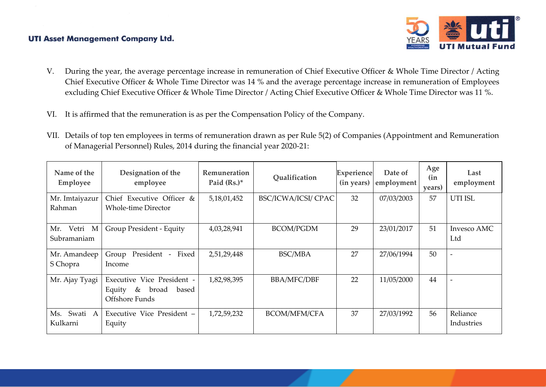

- V. During the year, the average percentage increase in remuneration of Chief Executive Officer & Whole Time Director / Acting Chief Executive Officer & Whole Time Director was 14 % and the average percentage increase in remuneration of Employees excluding Chief Executive Officer & Whole Time Director / Acting Chief Executive Officer & Whole Time Director was 11 %.
- VI. It is affirmed that the remuneration is as per the Compensation Policy of the Company.
- VII. Details of top ten employees in terms of remuneration drawn as per Rule 5(2) of Companies (Appointment and Remuneration of Managerial Personnel) Rules, 2014 during the financial year 2020-21:

| Name of the<br>Employee       | Designation of the<br>employee                                                | Remuneration<br>Paid $(Rs.)^*$ | Qualification              | Experience<br>(in years) | Date of<br>employment | Age<br>(in<br>years) | Last<br>employment     |
|-------------------------------|-------------------------------------------------------------------------------|--------------------------------|----------------------------|--------------------------|-----------------------|----------------------|------------------------|
| Mr. Imtaiyazur<br>Rahman      | Chief Executive Officer &<br><b>Whole-time Director</b>                       | 5,18,01,452                    | <b>BSC/ICWA/ICSI/ CPAC</b> | 32                       | 07/03/2003            | 57                   | UTI ISL                |
| Vetri M<br>Mr.<br>Subramaniam | Group President - Equity                                                      | 4,03,28,941                    | <b>BCOM/PGDM</b>           | 29                       | 23/01/2017            | 51                   | Invesco AMC<br>Ltd     |
| Mr. Amandeep<br>S Chopra      | Group President -<br>Fixed<br>Income                                          | 2,51,29,448                    | <b>BSC/MBA</b>             | 27                       | 27/06/1994            | 50                   | $\overline{a}$         |
| Mr. Ajay Tyagi                | Executive Vice President -<br>broad<br>Equity<br>&<br>based<br>Offshore Funds | 1,82,98,395                    | <b>BBA/MFC/DBF</b>         | 22                       | 11/05/2000            | 44                   |                        |
| Swati A<br>Ms.<br>Kulkarni    | Executive Vice President -<br>Equity                                          | 1,72,59,232                    | <b>BCOM/MFM/CFA</b>        | 37                       | 27/03/1992            | 56                   | Reliance<br>Industries |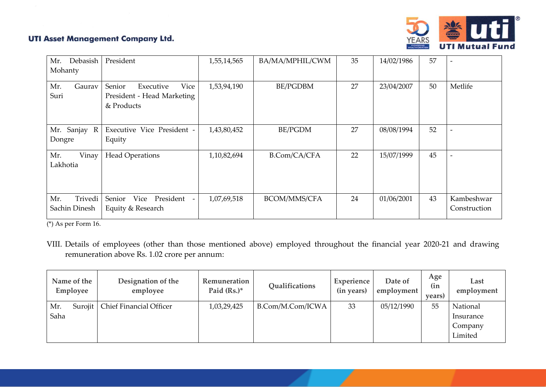

| Mr.<br>Debasish<br>Mohanty      | President                                                               | 1,55,14,565 | BA/MA/MPHIL/CWM     | 35 | 14/02/1986 | 57 |                            |
|---------------------------------|-------------------------------------------------------------------------|-------------|---------------------|----|------------|----|----------------------------|
| Mr.<br>Gaurav<br>Suri           | Vice<br>Senior<br>Executive<br>President - Head Marketing<br>& Products | 1,53,94,190 | <b>BE/PGDBM</b>     | 27 | 23/04/2007 | 50 | Metlife                    |
| Mr. Sanjay R<br>Dongre          | Executive Vice President -<br>Equity                                    | 1,43,80,452 | <b>BE/PGDM</b>      | 27 | 08/08/1994 | 52 |                            |
| Mr.<br>Vinay<br>Lakhotia        | <b>Head Operations</b>                                                  | 1,10,82,694 | <b>B.Com/CA/CFA</b> | 22 | 15/07/1999 | 45 |                            |
| Trivedi<br>Mr.<br>Sachin Dinesh | Senior<br>Vice<br>President<br>Equity & Research                        | 1,07,69,518 | <b>BCOM/MMS/CFA</b> | 24 | 01/06/2001 | 43 | Kambeshwar<br>Construction |

(\*) As per Form 16.

VIII. Details of employees (other than those mentioned above) employed throughout the financial year 2020-21 and drawing remuneration above Rs. 1.02 crore per annum:

| Name of the<br>Employee | Designation of the<br>employee | Remuneration<br>Paid $(Rs.)^*$ | Qualifications   | Experience<br>(in years) | Date of<br>employment | Age<br>(in<br><i>vears</i> | Last<br>employment |
|-------------------------|--------------------------------|--------------------------------|------------------|--------------------------|-----------------------|----------------------------|--------------------|
| Mr.<br>Surojit          | <b>Chief Financial Officer</b> | 1,03,29,425                    | B.Com/M.Com/ICWA | 33                       | 05/12/1990            | 55                         | National           |
| Saha                    |                                |                                |                  |                          |                       |                            | Insurance          |
|                         |                                |                                |                  |                          |                       |                            | Company            |
|                         |                                |                                |                  |                          |                       |                            | Limited            |